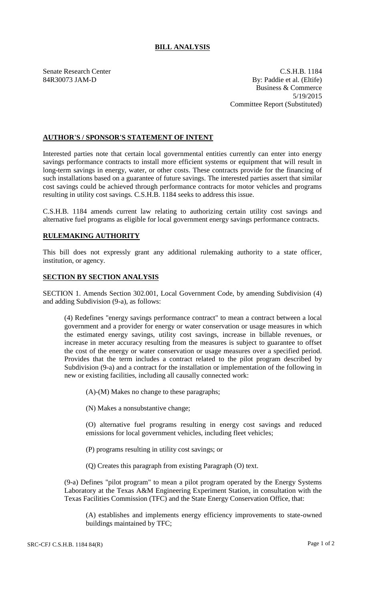## **BILL ANALYSIS**

Senate Research Center C.S.H.B. 1184 84R30073 JAM-D By: Paddie et al. (Eltife) Business & Commerce 5/19/2015 Committee Report (Substituted)

## **AUTHOR'S / SPONSOR'S STATEMENT OF INTENT**

Interested parties note that certain local governmental entities currently can enter into energy savings performance contracts to install more efficient systems or equipment that will result in long-term savings in energy, water, or other costs. These contracts provide for the financing of such installations based on a guarantee of future savings. The interested parties assert that similar cost savings could be achieved through performance contracts for motor vehicles and programs resulting in utility cost savings. C.S.H.B. 1184 seeks to address this issue.

C.S.H.B. 1184 amends current law relating to authorizing certain utility cost savings and alternative fuel programs as eligible for local government energy savings performance contracts.

## **RULEMAKING AUTHORITY**

This bill does not expressly grant any additional rulemaking authority to a state officer, institution, or agency.

## **SECTION BY SECTION ANALYSIS**

SECTION 1. Amends Section 302.001, Local Government Code, by amending Subdivision (4) and adding Subdivision (9-a), as follows:

(4) Redefines "energy savings performance contract" to mean a contract between a local government and a provider for energy or water conservation or usage measures in which the estimated energy savings, utility cost savings, increase in billable revenues, or increase in meter accuracy resulting from the measures is subject to guarantee to offset the cost of the energy or water conservation or usage measures over a specified period. Provides that the term includes a contract related to the pilot program described by Subdivision (9-a) and a contract for the installation or implementation of the following in new or existing facilities, including all causally connected work:

(A)-(M) Makes no change to these paragraphs;

(N) Makes a nonsubstantive change;

(O) alternative fuel programs resulting in energy cost savings and reduced emissions for local government vehicles, including fleet vehicles;

- (P) programs resulting in utility cost savings; or
- (Q) Creates this paragraph from existing Paragraph (O) text.

(9-a) Defines "pilot program" to mean a pilot program operated by the Energy Systems Laboratory at the Texas A&M Engineering Experiment Station, in consultation with the Texas Facilities Commission (TFC) and the State Energy Conservation Office, that:

(A) establishes and implements energy efficiency improvements to state-owned buildings maintained by TFC;